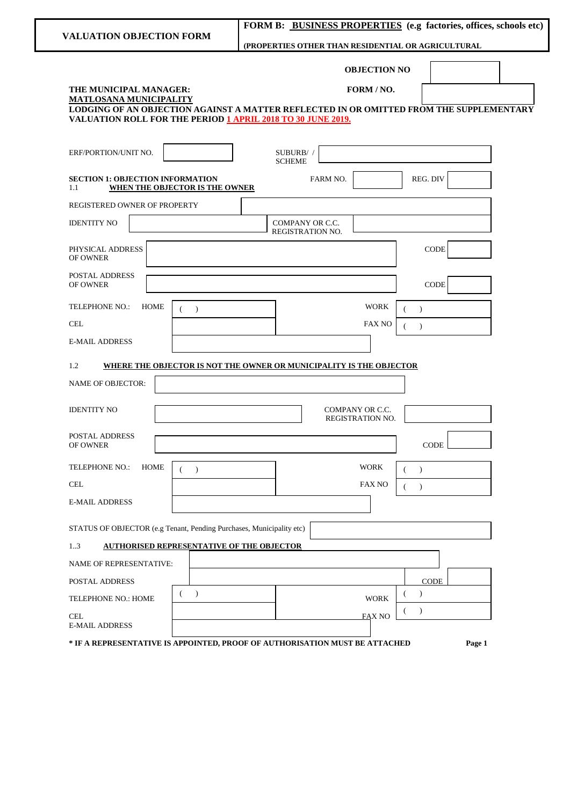|                                                                                                                                | FORM B: BUSINESS PROPERTIES (e.g factories, offices, schools etc)                       |
|--------------------------------------------------------------------------------------------------------------------------------|-----------------------------------------------------------------------------------------|
| <b>VALUATION OBJECTION FORM</b>                                                                                                | (PROPERTIES OTHER THAN RESIDENTIAL OR AGRICULTURAL                                      |
| THE MUNICIPAL MANAGER:                                                                                                         | <b>OBJECTION NO</b><br>FORM / NO.                                                       |
| <b>MATLOSANA MUNICIPALITY</b>                                                                                                  | LODGING OF AN OBJECTION AGAINST A MATTER REFLECTED IN OR OMITTED FROM THE SUPPLEMENTARY |
| VALUATION ROLL FOR THE PERIOD 1 APRIL 2018 TO 30 JUNE 2019.                                                                    |                                                                                         |
| ERF/PORTION/UNIT NO.                                                                                                           | SUBURB/ /<br><b>SCHEME</b>                                                              |
| <b>SECTION 1: OBJECTION INFORMATION</b><br>1.1<br><b>WHEN THE OBJECTOR IS THE OWNER</b>                                        | REG. DIV<br>FARM NO.                                                                    |
| REGISTERED OWNER OF PROPERTY                                                                                                   |                                                                                         |
| <b>IDENTITY NO</b>                                                                                                             | COMPANY OR C.C.<br>REGISTRATION NO.                                                     |
| PHYSICAL ADDRESS<br>OF OWNER                                                                                                   | <b>CODE</b>                                                                             |
| POSTAL ADDRESS<br><b>OF OWNER</b>                                                                                              | <b>CODE</b>                                                                             |
| <b>TELEPHONE NO.:</b><br>HOME<br>$\lambda$                                                                                     | <b>WORK</b><br>$\lambda$                                                                |
| <b>CEL</b>                                                                                                                     | FAX NO<br>$\lambda$<br>(                                                                |
| <b>E-MAIL ADDRESS</b>                                                                                                          |                                                                                         |
| 1.2                                                                                                                            | WHERE THE OBJECTOR IS NOT THE OWNER OR MUNICIPALITY IS THE OBJECTOR                     |
| <b>NAME OF OBJECTOR:</b>                                                                                                       |                                                                                         |
|                                                                                                                                |                                                                                         |
| <b>IDENTITY NO</b>                                                                                                             | COMPANY OR C.C.<br><b>REGISTRATION NO.</b>                                              |
| POSTAL ADDRESS<br>OF OWNER                                                                                                     | CODE                                                                                    |
| TELEPHONE NO.:<br><b>HOME</b><br>$\rightarrow$                                                                                 | <b>WORK</b><br>$\lambda$<br>€                                                           |
| $\operatorname{CEL}$                                                                                                           | <b>FAX NO</b><br>€<br>$\lambda$                                                         |
| <b>E-MAIL ADDRESS</b>                                                                                                          |                                                                                         |
|                                                                                                                                |                                                                                         |
| STATUS OF OBJECTOR (e.g Tenant, Pending Purchases, Municipality etc)<br>13<br><b>AUTHORISED REPRESENTATIVE OF THE OBJECTOR</b> |                                                                                         |
| NAME OF REPRESENTATIVE:                                                                                                        |                                                                                         |
| POSTAL ADDRESS                                                                                                                 | <b>CODE</b>                                                                             |
| $\rightarrow$<br>TELEPHONE NO.: HOME                                                                                           | $\mathcal{L}$<br><b>WORK</b>                                                            |
| <b>CEL</b>                                                                                                                     | $\lambda$<br>$\left($<br><b>FAX NO</b>                                                  |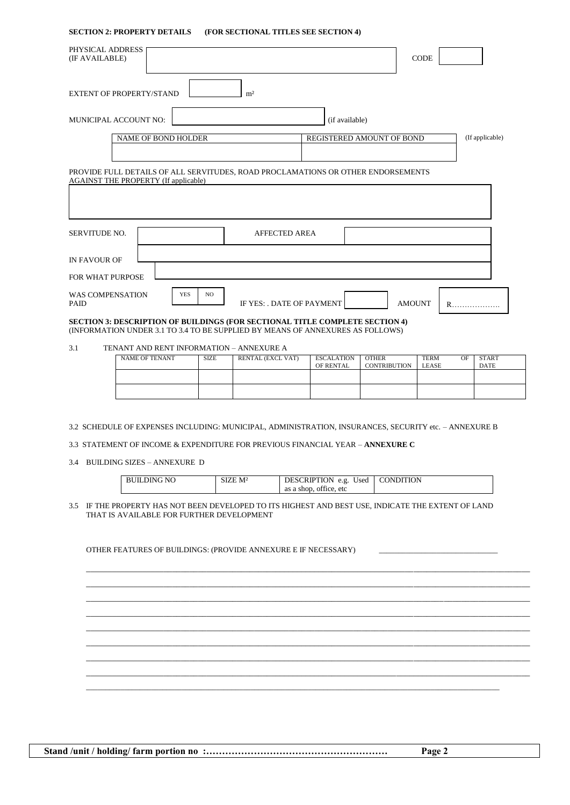#### **SECTION 2: PROPERTY DETAILS (FOR SECTIONAL TITLES SEE SECTION 4)**

| PHYSICAL ADDRESS<br>(IF AVAILABLE)          |                   |                                                                                     | <b>CODE</b>            |
|---------------------------------------------|-------------------|-------------------------------------------------------------------------------------|------------------------|
| <b>EXTENT OF PROPERTY/STAND</b>             | m <sup>2</sup>    |                                                                                     |                        |
| MUNICIPAL ACCOUNT NO:                       |                   | (if available)                                                                      |                        |
| NAME OF BOND HOLDER                         |                   | REGISTERED AMOUNT OF BOND                                                           | (If applicable)        |
|                                             |                   |                                                                                     |                        |
| <b>AGAINST THE PROPERTY (If applicable)</b> |                   | PROVIDE FULL DETAILS OF ALL SERVITUDES, ROAD PROCLAMATIONS OR OTHER ENDORSEMENTS    |                        |
| SERVITUDE NO.                               |                   | <b>AFFECTED AREA</b>                                                                |                        |
| IN FAVOUR OF                                |                   |                                                                                     |                        |
| FOR WHAT PURPOSE                            |                   |                                                                                     |                        |
| <b>WAS COMPENSATION</b><br>PAID             | <b>YES</b><br>NO. | IF YES: . DATE OF PAYMENT                                                           | <b>AMOUNT</b><br>$R$ . |
|                                             |                   | <b>SECTION 3: DESCRIPTION OF BUILDINGS (FOR SECTIONAL TITLE COMPLETE SECTION 4)</b> |                        |

(INFORMATION UNDER 3.1 TO 3.4 TO BE SUPPLIED BY MEANS OF ANNEXURES AS FOLLOWS)

3.1 TENANT AND RENT INFORMATION – ANNEXURE A

| NAME OF TENANT | <b>SIZE</b> | RENTAL (EXCL VAT) | <b>ESCALATION</b><br>OF RENTAL | <b>OTHER</b><br><b>CONTRIBUTION</b> | OF<br><b>TERM</b><br><b>LEASE</b> | <b>START</b><br><b>DATE</b> |
|----------------|-------------|-------------------|--------------------------------|-------------------------------------|-----------------------------------|-----------------------------|
|                |             |                   |                                |                                     |                                   |                             |
|                |             |                   |                                |                                     |                                   |                             |

3.2 SCHEDULE OF EXPENSES INCLUDING: MUNICIPAL, ADMINISTRATION, INSURANCES, SECURITY etc. – ANNEXURE B

3.3 STATEMENT OF INCOME & EXPENDITURE FOR PREVIOUS FINANCIAL YEAR – **ANNEXURE C**

3.4 BUILDING SIZES – ANNEXURE D

| <b>BUILDING NO</b> | SIZE M <sup>2</sup> | DESCRIPTION e.g. Used   CONDITION |  |
|--------------------|---------------------|-----------------------------------|--|
|                    |                     | as a shop, office, etc            |  |

\_\_\_\_\_\_\_\_\_\_\_\_\_\_\_\_\_\_\_\_\_\_\_\_\_\_\_\_\_\_\_\_\_\_\_\_\_\_\_\_\_\_\_\_\_\_\_\_\_\_\_\_\_\_\_\_\_\_\_\_\_\_\_\_\_\_\_\_\_\_\_\_\_\_\_\_\_\_\_\_\_\_\_\_\_\_\_\_\_\_\_\_\_\_\_\_\_\_\_\_\_\_\_ \_\_\_\_\_\_\_\_\_\_\_\_\_\_\_\_\_\_\_\_\_\_\_\_\_\_\_\_\_\_\_\_\_\_\_\_\_\_\_\_\_\_\_\_\_\_\_\_\_\_\_\_\_\_\_\_\_\_\_\_\_\_\_\_\_\_\_\_\_\_\_\_\_\_\_\_\_\_\_\_\_\_\_\_\_\_\_\_\_\_\_\_\_\_\_\_\_\_\_\_\_\_\_ \_\_\_\_\_\_\_\_\_\_\_\_\_\_\_\_\_\_\_\_\_\_\_\_\_\_\_\_\_\_\_\_\_\_\_\_\_\_\_\_\_\_\_\_\_\_\_\_\_\_\_\_\_\_\_\_\_\_\_\_\_\_\_\_\_\_\_\_\_\_\_\_\_\_\_\_\_\_\_\_\_\_\_\_\_\_\_\_\_\_\_\_\_\_\_\_\_\_\_\_\_\_\_ \_\_\_\_\_\_\_\_\_\_\_\_\_\_\_\_\_\_\_\_\_\_\_\_\_\_\_\_\_\_\_\_\_\_\_\_\_\_\_\_\_\_\_\_\_\_\_\_\_\_\_\_\_\_\_\_\_\_\_\_\_\_\_\_\_\_\_\_\_\_\_\_\_\_\_\_\_\_\_\_\_\_\_\_\_\_\_\_\_\_\_\_\_\_\_\_\_\_\_\_\_\_\_ \_\_\_\_\_\_\_\_\_\_\_\_\_\_\_\_\_\_\_\_\_\_\_\_\_\_\_\_\_\_\_\_\_\_\_\_\_\_\_\_\_\_\_\_\_\_\_\_\_\_\_\_\_\_\_\_\_\_\_\_\_\_\_\_\_\_\_\_\_\_\_\_\_\_\_\_\_\_\_\_\_\_\_\_\_\_\_\_\_\_\_\_\_\_\_\_\_\_\_\_\_\_\_ \_\_\_\_\_\_\_\_\_\_\_\_\_\_\_\_\_\_\_\_\_\_\_\_\_\_\_\_\_\_\_\_\_\_\_\_\_\_\_\_\_\_\_\_\_\_\_\_\_\_\_\_\_\_\_\_\_\_\_\_\_\_\_\_\_\_\_\_\_\_\_\_\_\_\_\_\_\_\_\_\_\_\_\_\_\_\_\_\_\_\_\_\_\_\_\_\_\_\_\_\_\_\_ \_\_\_\_\_\_\_\_\_\_\_\_\_\_\_\_\_\_\_\_\_\_\_\_\_\_\_\_\_\_\_\_\_\_\_\_\_\_\_\_\_\_\_\_\_\_\_\_\_\_\_\_\_\_\_\_\_\_\_\_\_\_\_\_\_\_\_\_\_\_\_\_\_\_\_\_\_\_\_\_\_\_\_\_\_\_\_\_\_\_\_\_\_\_\_\_\_\_\_\_\_\_\_ \_\_\_\_\_\_\_\_\_\_\_\_\_\_\_\_\_\_\_\_\_\_\_\_\_\_\_\_\_\_\_\_\_\_\_\_\_\_\_\_\_\_\_\_\_\_\_\_\_\_\_\_\_\_\_\_\_\_\_\_\_\_\_\_\_\_\_\_\_\_\_\_\_\_\_\_\_\_\_\_\_\_\_\_\_\_\_\_\_\_\_\_\_\_\_\_\_\_\_\_\_\_\_

 $\_$  , and the state of the state of the state of the state of the state of the state of the state of the state of the state of the state of the state of the state of the state of the state of the state of the state of the

3.5 IF THE PROPERTY HAS NOT BEEN DEVELOPED TO ITS HIGHEST AND BEST USE, INDICATE THE EXTENT OF LAND THAT IS AVAILABLE FOR FURTHER DEVELOPMENT

OTHER FEATURES OF BUILDINGS: (PROVIDE ANNEXURE E IF NECESSARY)

**Stand /unit / holding/ farm portion no :………………………………………………… Page 2**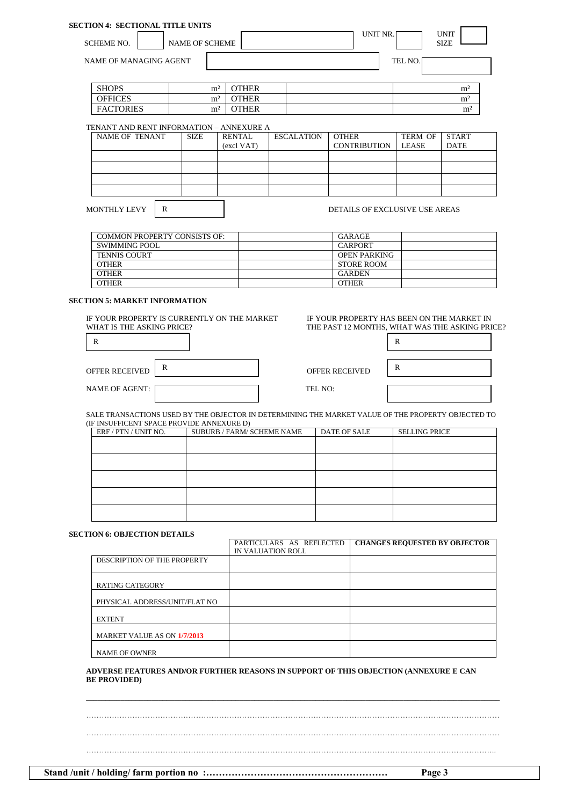| <b>SECTION 4: SECTIONAL TITLE UNITS</b> |                       |              |          |         |                            |                |
|-----------------------------------------|-----------------------|--------------|----------|---------|----------------------------|----------------|
| <b>SCHEME NO.</b>                       | <b>NAME OF SCHEME</b> |              | UNIT NR. |         | <b>UNIT</b><br><b>SIZE</b> |                |
| NAME OF MANAGING AGENT                  |                       |              |          | TEL NO. |                            |                |
|                                         |                       |              |          |         |                            |                |
| <b>SHOPS</b>                            | m <sup>2</sup>        | <b>OTHER</b> |          |         |                            | m <sup>2</sup> |
| <b>OFFICES</b>                          | m <sup>2</sup>        | <b>OTHER</b> |          |         |                            | m <sup>2</sup> |
| <b>FACTORIES</b>                        | m <sup>2</sup>        | <b>OTHER</b> |          |         |                            | m <sup>2</sup> |

#### TENANT AND RENT INFORMATION – ANNEXURE A

| NAME OF TENANT | <b>SIZE</b> | RENTAL     | <b>ESCALATION</b> | OTHER               | TERM OF | <b>START</b> |
|----------------|-------------|------------|-------------------|---------------------|---------|--------------|
|                |             | (excl VAT) |                   | <b>CONTRIBUTION</b> | LEASE   | <b>DATE</b>  |
|                |             |            |                   |                     |         |              |
|                |             |            |                   |                     |         |              |
|                |             |            |                   |                     |         |              |
|                |             |            |                   |                     |         |              |
|                |             |            |                   |                     |         |              |

MONTHLY LEVY | R

DETAILS OF EXCLUSIVE USE AREAS

| <b>COMMON PROPERTY CONSISTS OF:</b> | GARAGE              |
|-------------------------------------|---------------------|
| SWIMMING POOL                       | <b>CARPORT</b>      |
| <b>TENNIS COURT</b>                 | <b>OPEN PARKING</b> |
| <b>OTHER</b>                        | STORE ROOM          |
| <b>OTHER</b>                        | <b>GARDEN</b>       |
| <b>OTHER</b>                        | <b>OTHER</b>        |

### **SECTION 5: MARKET INFORMATION**

IF YOUR PROPERTY IS CURRENTLY ON THE MARKET THE YOUR PROPERTY HAS BEEN ON THE MARKET IN WHAT IS THE ASKING PRICE?

| <b>OFFER RECEIVED</b> | R | <b>OFFER RECEIVED</b> | R |
|-----------------------|---|-----------------------|---|
| <b>NAME OF AGENT:</b> |   | TEL NO:               |   |

THE PAST 12 MONTHS, WHAT WAS THE ASKING PRICE?

| $\mathbb{R}$ |  |
|--------------|--|
| $\mathbb{R}$ |  |
|              |  |

SALE TRANSACTIONS USED BY THE OBJECTOR IN DETERMINING THE MARKET VALUE OF THE PROPERTY OBJECTED TO (IF INSUFFICENT SPACE PROVIDE ANNEXURE D)

| ERF / PTN / UNIT NO. | SUBURB / FARM/ SCHEME NAME | DATE OF SALE | <b>SELLING PRICE</b> |
|----------------------|----------------------------|--------------|----------------------|
|                      |                            |              |                      |
|                      |                            |              |                      |
|                      |                            |              |                      |
|                      |                            |              |                      |
|                      |                            |              |                      |

### **SECTION 6: OBJECTION DETAILS**

|                               | PARTICULARS AS REFLECTED | <b>CHANGES REQUESTED BY OBJECTOR</b> |
|-------------------------------|--------------------------|--------------------------------------|
|                               | IN VALUATION ROLL        |                                      |
| DESCRIPTION OF THE PROPERTY   |                          |                                      |
| <b>RATING CATEGORY</b>        |                          |                                      |
| PHYSICAL ADDRESS/UNIT/FLAT NO |                          |                                      |
| <b>EXTENT</b>                 |                          |                                      |
| MARKET VALUE AS ON 1/7/2013   |                          |                                      |
| <b>NAME OF OWNER</b>          |                          |                                      |

### **ADVERSE FEATURES AND/OR FURTHER REASONS IN SUPPORT OF THIS OBJECTION (ANNEXURE E CAN BE PROVIDED)**

……………………………………………………………………………………………………………………………………………… ……………………………………………………………………………………………………………………………………………… ……………………………………………………………………………………………………………………………………………..

 $\_$  , and the set of the set of the set of the set of the set of the set of the set of the set of the set of the set of the set of the set of the set of the set of the set of the set of the set of the set of the set of th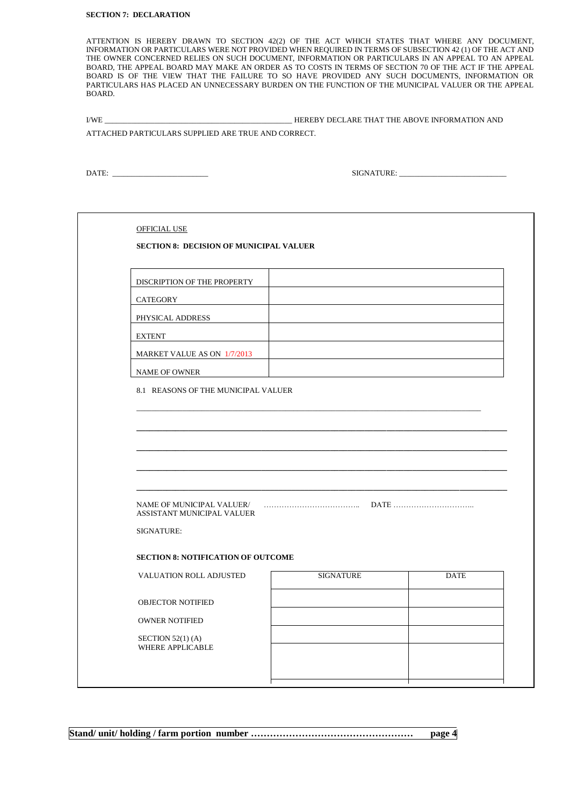#### **SECTION 7: DECLARATION**

ATTENTION IS HEREBY DRAWN TO SECTION 42(2) OF THE ACT WHICH STATES THAT WHERE ANY DOCUMENT, INFORMATION OR PARTICULARS WERE NOT PROVIDED WHEN REQUIRED IN TERMS OF SUBSECTION 42 (1) OF THE ACT AND THE OWNER CONCERNED RELIES ON SUCH DOCUMENT, INFORMATION OR PARTICULARS IN AN APPEAL TO AN APPEAL BOARD, THE APPEAL BOARD MAY MAKE AN ORDER AS TO COSTS IN TERMS OF SECTION 70 OF THE ACT IF THE APPEAL BOARD IS OF THE VIEW THAT THE FAILURE TO SO HAVE PROVIDED ANY SUCH DOCUMENTS, INFORMATION OR PARTICULARS HAS PLACED AN UNNECESSARY BURDEN ON THE FUNCTION OF THE MUNICIPAL VALUER OR THE APPEAL BOARD.

| <b>I/WE</b>                                         | HEREBY DECLARE THAT THE ABOVE INFORMATION AND |
|-----------------------------------------------------|-----------------------------------------------|
| ATTACHED PARTICULARS SUPPLIED ARE TRUE AND CORRECT. |                                               |

DATE: \_\_\_\_\_\_\_\_\_\_\_\_\_\_\_\_\_\_\_\_\_\_\_\_\_ SIGNATURE: \_\_\_\_\_\_\_\_\_\_\_\_\_\_\_\_\_\_\_\_\_\_\_\_\_\_\_\_

| <b>OFFICIAL USE</b><br><b>SECTION 8: DECISION OF MUNICIPAL VALUER</b> |                  |             |
|-----------------------------------------------------------------------|------------------|-------------|
|                                                                       |                  |             |
| DISCRIPTION OF THE PROPERTY                                           |                  |             |
| CATEGORY                                                              |                  |             |
| PHYSICAL ADDRESS                                                      |                  |             |
| <b>EXTENT</b>                                                         |                  |             |
| MARKET VALUE AS ON 1/7/2013                                           |                  |             |
| <b>NAME OF OWNER</b>                                                  |                  |             |
| 8.1 REASONS OF THE MUNICIPAL VALUER                                   |                  |             |
|                                                                       |                  |             |
|                                                                       |                  |             |
|                                                                       |                  |             |
|                                                                       |                  |             |
|                                                                       |                  |             |
| ASSISTANT MUNICIPAL VALUER                                            |                  |             |
| SIGNATURE:                                                            |                  |             |
| <b>SECTION 8: NOTIFICATION OF OUTCOME</b>                             |                  |             |
| VALUATION ROLL ADJUSTED                                               | <b>SIGNATURE</b> | <b>DATE</b> |
| <b>OBJECTOR NOTIFIED</b>                                              |                  |             |
|                                                                       |                  |             |
|                                                                       |                  |             |
| OWNER NOTIFIED                                                        |                  |             |
| SECTION $52(1)$ (A)<br>WHERE APPLICABLE                               |                  |             |

**Stand/ unit/ holding / farm portion number …………………………………………… page 4**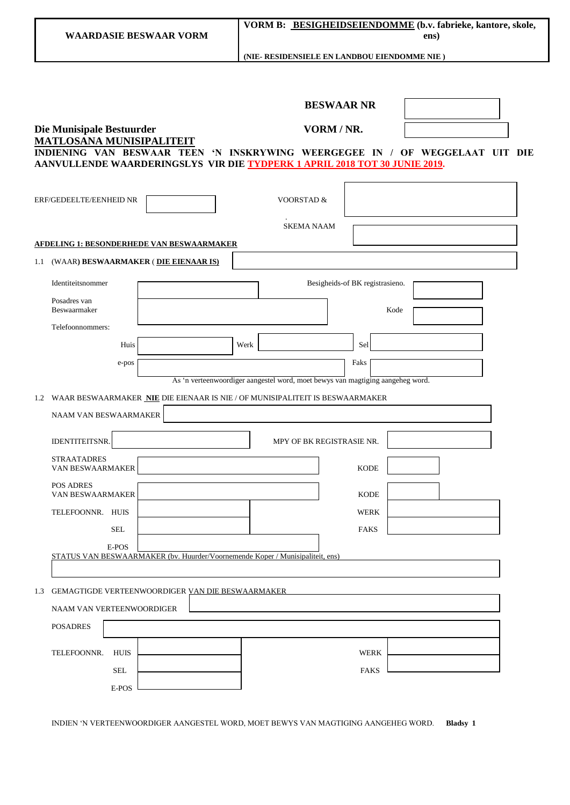|                                                                                                                                                                                                                                          | VORM B: BESIGHEIDSEIENDOMME (b.v. fabrieke, kantore, skole,<br><b>WAARDASIE BESWAAR VORM</b><br>ens) |                                                                                |                                 |  |  |  |
|------------------------------------------------------------------------------------------------------------------------------------------------------------------------------------------------------------------------------------------|------------------------------------------------------------------------------------------------------|--------------------------------------------------------------------------------|---------------------------------|--|--|--|
|                                                                                                                                                                                                                                          |                                                                                                      | (NIE- RESIDENSIELE EN LANDBOU EIENDOMME NIE)                                   |                                 |  |  |  |
|                                                                                                                                                                                                                                          |                                                                                                      | <b>BESWAAR NR</b>                                                              |                                 |  |  |  |
| Die Munisipale Bestuurder<br>VORM / NR.<br><b>MATLOSANA MUNISIPALITEIT</b><br>INDIENING VAN BESWAAR TEEN 'N INSKRYWING WEERGEGEE IN / OF WEGGELAAT UIT DIE<br>AANVULLENDE WAARDERINGSLYS VIR DIE TYDPERK 1 APRIL 2018 TOT 30 JUNIE 2019. |                                                                                                      |                                                                                |                                 |  |  |  |
| ERF/GEDEELTE/EENHEID NR                                                                                                                                                                                                                  |                                                                                                      | <b>VOORSTAD &amp;</b>                                                          |                                 |  |  |  |
|                                                                                                                                                                                                                                          |                                                                                                      | <b>SKEMA NAAM</b>                                                              |                                 |  |  |  |
| <b>AFDELING 1: BESONDERHEDE VAN BESWAARMAKER</b><br>(WAAR) BESWAARMAKER (DIE EIENAAR IS)<br>1.1                                                                                                                                          |                                                                                                      |                                                                                |                                 |  |  |  |
| Identiteitsnommer                                                                                                                                                                                                                        |                                                                                                      |                                                                                | Besigheids-of BK registrasieno. |  |  |  |
| Posadres van<br>Beswaarmaker                                                                                                                                                                                                             |                                                                                                      |                                                                                | Kode                            |  |  |  |
| Telefoonnommers:<br>Huis                                                                                                                                                                                                                 | Werk                                                                                                 |                                                                                | Sel                             |  |  |  |
| e-pos                                                                                                                                                                                                                                    |                                                                                                      |                                                                                | Faks                            |  |  |  |
|                                                                                                                                                                                                                                          |                                                                                                      | As 'n verteenwoordiger aangestel word, moet bewys van magtiging aangeheg word. |                                 |  |  |  |
| 1.2 WAAR BESWAARMAKER NIE DIE EIENAAR IS NIE / OF MUNISIPALITEIT IS BESWAARMAKER<br><b>NAAM VAN BESWAARMAKER</b>                                                                                                                         |                                                                                                      |                                                                                |                                 |  |  |  |
| IDENTITEITSNR.                                                                                                                                                                                                                           |                                                                                                      | MPY OF BK REGISTRASIE NR.                                                      |                                 |  |  |  |
| <b>STRAATADRES</b><br>VAN BESWAARMAKER                                                                                                                                                                                                   |                                                                                                      |                                                                                | <b>KODE</b>                     |  |  |  |
| POS ADRES                                                                                                                                                                                                                                |                                                                                                      |                                                                                |                                 |  |  |  |
| VAN BESWAARMAKER<br>TELEFOONNR. HUIS                                                                                                                                                                                                     |                                                                                                      |                                                                                | <b>KODE</b><br>WERK             |  |  |  |
| SEL                                                                                                                                                                                                                                      |                                                                                                      |                                                                                | FAKS                            |  |  |  |
| E-POS<br>STATUS VAN BESWAARMAKER (bv. Huurder/Voornemende Koper / Munisipaliteit, ens)                                                                                                                                                   |                                                                                                      |                                                                                |                                 |  |  |  |
| <b>GEMAGTIGDE VERTEENWOORDIGER VAN DIE BESWAARMAKER</b><br>1.3                                                                                                                                                                           |                                                                                                      |                                                                                |                                 |  |  |  |
| NAAM VAN VERTEENWOORDIGER                                                                                                                                                                                                                |                                                                                                      |                                                                                |                                 |  |  |  |
| <b>POSADRES</b>                                                                                                                                                                                                                          |                                                                                                      |                                                                                |                                 |  |  |  |
| TELEFOONNR.<br>HUIS                                                                                                                                                                                                                      |                                                                                                      |                                                                                | WERK                            |  |  |  |
| <b>SEL</b><br>E-POS                                                                                                                                                                                                                      |                                                                                                      |                                                                                | <b>FAKS</b>                     |  |  |  |

INDIEN 'N VERTEENWOORDIGER AANGESTEL WORD, MOET BEWYS VAN MAGTIGING AANGEHEG WORD. **Bladsy 1**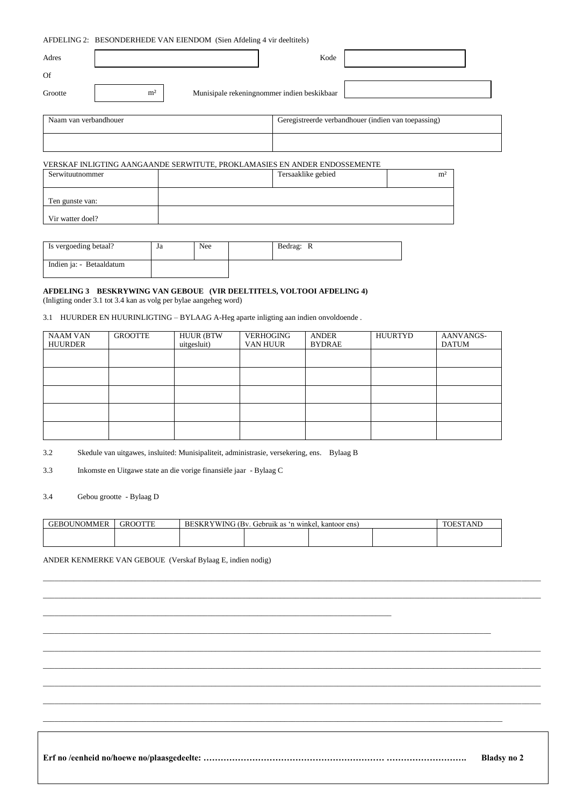|                       | AFDELING 2: BESONDERHEDE VAN EIENDOM (Sien Afdeling 4 vir deeltitels) |                                             |      |                                                     |  |  |  |
|-----------------------|-----------------------------------------------------------------------|---------------------------------------------|------|-----------------------------------------------------|--|--|--|
| Adres                 |                                                                       |                                             | Kode |                                                     |  |  |  |
| Of                    |                                                                       |                                             |      |                                                     |  |  |  |
| Grootte               | m <sup>2</sup>                                                        | Munisipale rekeningnommer indien beskikbaar |      |                                                     |  |  |  |
| Naam van verbandhouer |                                                                       |                                             |      | Geregistreerde verbandhouer (indien van toepassing) |  |  |  |
|                       |                                                                       |                                             |      |                                                     |  |  |  |

# VERSKAF INLIGTING AANGAANDE SERWITUTE, PROKLAMASIES EN ANDER ENDOSSEMENTE

| Serwituutnommer  | Tersaaklike gebied | m <sup>2</sup> |
|------------------|--------------------|----------------|
| Ten gunste van:  |                    |                |
| Vir watter doel? |                    |                |

| Is vergoeding betaal?    | Ja | Nee | Bedrag: R |  |
|--------------------------|----|-----|-----------|--|
| Indien ja: - Betaaldatum |    |     |           |  |

### **AFDELING 3 BESKRYWING VAN GEBOUE (VIR DEELTITELS, VOLTOOI AFDELING 4)** (Inligting onder 3.1 tot 3.4 kan as volg per bylae aangeheg word)

# 3.1 HUURDER EN HUURINLIGTING – BYLAAG A-Heg aparte inligting aan indien onvoldoende .

| NAAM VAN<br><b>HUURDER</b> | <b>GROOTTE</b> | <b>HUUR (BTW</b><br>uitgesluit) | VERHOGING<br>VAN HUUR | ANDER<br><b>BYDRAE</b> | HUURTYD | AANVANGS-<br><b>DATUM</b> |
|----------------------------|----------------|---------------------------------|-----------------------|------------------------|---------|---------------------------|
|                            |                |                                 |                       |                        |         |                           |
|                            |                |                                 |                       |                        |         |                           |
|                            |                |                                 |                       |                        |         |                           |
|                            |                |                                 |                       |                        |         |                           |
|                            |                |                                 |                       |                        |         |                           |
|                            |                |                                 |                       |                        |         |                           |

3.2 Skedule van uitgawes, insluited: Munisipaliteit, administrasie, versekering, ens. Bylaag B

 $\_$  . The contribution of the contribution of the contribution of the contribution of the contribution of the contribution of the contribution of the contribution of the contribution of the contribution of the contributio

3.3 Inkomste en Uitgawe state an die vorige finansiële jaar - Bylaag C

# 3.4 Gebou grootte - Bylaag D

| <b>INOMMER</b><br>.KO 11 | K)<br>. iR' | WING<br>G (Rv<br>BESK | $\sim$<br>ANL. |  |  |  |
|--------------------------|-------------|-----------------------|----------------|--|--|--|
|                          |             |                       |                |  |  |  |

 $\_$  ,  $\_$  ,  $\_$  ,  $\_$  ,  $\_$  ,  $\_$  ,  $\_$  ,  $\_$  ,  $\_$  ,  $\_$  ,  $\_$  ,  $\_$  ,  $\_$  ,  $\_$  ,  $\_$  ,  $\_$  ,  $\_$  ,  $\_$  ,  $\_$  ,  $\_$  ,  $\_$  ,  $\_$  ,  $\_$  ,  $\_$  ,  $\_$  ,  $\_$  ,  $\_$  ,  $\_$  ,  $\_$  ,  $\_$  ,  $\_$  ,  $\_$  ,  $\_$  ,  $\_$  ,  $\_$  ,  $\_$  ,  $\_$  ,

\_\_\_\_\_\_\_\_\_\_\_\_\_\_\_\_\_\_\_\_\_\_\_\_\_\_\_\_\_\_\_\_\_\_\_\_\_\_\_\_\_\_\_\_\_\_\_\_\_\_\_\_\_\_\_\_\_\_\_\_\_\_\_\_\_\_\_\_\_\_\_\_\_\_\_\_\_\_\_\_\_\_\_\_\_\_\_\_\_\_\_\_\_\_\_\_\_\_\_\_\_\_\_\_\_\_\_\_\_\_\_\_\_\_\_\_\_\_\_\_\_\_\_\_\_\_\_\_\_\_ \_\_\_\_\_\_\_\_\_\_\_\_\_\_\_\_\_\_\_\_\_\_\_\_\_\_\_\_\_\_\_\_\_\_\_\_\_\_\_\_\_\_\_\_\_\_\_\_\_\_\_\_\_\_\_\_\_\_\_\_\_\_\_\_\_\_\_\_\_\_\_\_\_\_\_\_\_\_\_\_\_\_\_\_\_\_\_\_\_\_\_\_\_\_\_\_\_\_\_\_\_\_\_\_\_\_\_\_\_\_\_\_\_\_\_\_\_\_\_\_\_\_\_\_\_\_\_\_\_\_

\_\_\_\_\_\_\_\_\_\_\_\_\_\_\_\_\_\_\_\_\_\_\_\_\_\_\_\_\_\_\_\_\_\_\_\_\_\_\_\_\_\_\_\_\_\_\_\_\_\_\_\_\_\_\_\_\_\_\_\_\_\_\_\_\_\_\_\_\_\_\_\_\_\_\_\_\_\_\_\_\_\_\_\_\_\_\_\_\_\_\_\_\_\_\_\_\_\_\_\_\_\_\_\_\_\_\_\_\_\_\_\_\_\_\_\_\_\_\_\_\_\_\_\_\_\_\_\_\_\_ \_\_\_\_\_\_\_\_\_\_\_\_\_\_\_\_\_\_\_\_\_\_\_\_\_\_\_\_\_\_\_\_\_\_\_\_\_\_\_\_\_\_\_\_\_\_\_\_\_\_\_\_\_\_\_\_\_\_\_\_\_\_\_\_\_\_\_\_\_\_\_\_\_\_\_\_\_\_\_\_\_\_\_\_\_\_\_\_\_\_\_\_\_\_\_\_\_\_\_\_\_\_\_\_\_\_\_\_\_\_\_\_\_\_\_\_\_\_\_\_\_\_\_\_\_\_\_\_\_\_ \_\_\_\_\_\_\_\_\_\_\_\_\_\_\_\_\_\_\_\_\_\_\_\_\_\_\_\_\_\_\_\_\_\_\_\_\_\_\_\_\_\_\_\_\_\_\_\_\_\_\_\_\_\_\_\_\_\_\_\_\_\_\_\_\_\_\_\_\_\_\_\_\_\_\_\_\_\_\_\_\_\_\_\_\_\_\_\_\_\_\_\_\_\_\_\_\_\_\_\_\_\_\_\_\_\_\_\_\_\_\_\_\_\_\_\_\_\_\_\_\_\_\_\_\_\_\_\_\_\_ \_\_\_\_\_\_\_\_\_\_\_\_\_\_\_\_\_\_\_\_\_\_\_\_\_\_\_\_\_\_\_\_\_\_\_\_\_\_\_\_\_\_\_\_\_\_\_\_\_\_\_\_\_\_\_\_\_\_\_\_\_\_\_\_\_\_\_\_\_\_\_\_\_\_\_\_\_\_\_\_\_\_\_\_\_\_\_\_\_\_\_\_\_\_\_\_\_\_\_\_\_\_\_\_\_\_\_\_\_\_\_\_\_\_\_\_\_\_\_\_\_\_\_\_\_\_\_\_\_\_

#### ANDER KENMERKE VAN GEBOUE (Verskaf Bylaag E, indien nodig)

**Erf no /eenheid no/hoewe no/plaasgedeelte: ……………………………………………………… ………………………. Bladsy no 2**

\_\_\_\_\_\_\_\_\_\_\_\_\_\_\_\_\_\_\_\_\_\_\_\_\_\_\_\_\_\_\_\_\_\_\_\_\_\_\_\_\_\_\_\_\_\_\_\_\_\_\_\_\_\_\_\_\_\_\_\_\_\_\_\_\_\_\_\_\_\_\_\_\_\_\_\_\_\_\_\_\_\_\_\_\_\_\_\_\_\_\_\_\_\_\_\_\_\_\_\_\_\_\_\_\_\_\_\_\_\_\_\_\_\_\_\_\_\_\_\_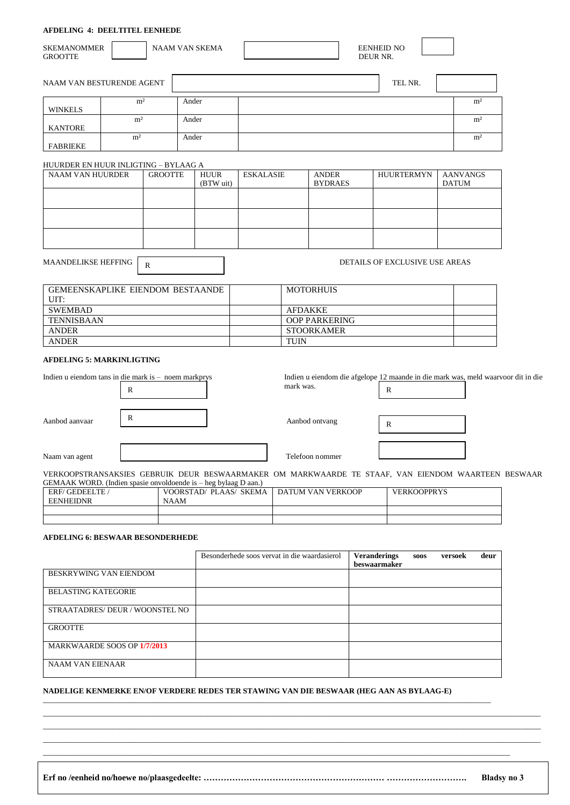### **AFDELING 4: DEELTITEL EENHEDE**

| <b>SKEMANOMMER</b><br><b>GROOTTE</b>                            |                |                | <b>NAAM VAN SKEMA</b> |                          |                  |                |                                | <b>EENHEID NO</b><br>DEUR NR.                                                                      |              |                 |
|-----------------------------------------------------------------|----------------|----------------|-----------------------|--------------------------|------------------|----------------|--------------------------------|----------------------------------------------------------------------------------------------------|--------------|-----------------|
| NAAM VAN BESTURENDE AGENT                                       |                |                |                       |                          |                  |                |                                | TEL NR.                                                                                            |              |                 |
|                                                                 | m <sup>2</sup> |                | Ander                 |                          |                  |                |                                |                                                                                                    |              | m <sup>2</sup>  |
| <b>WINKELS</b>                                                  | m <sup>2</sup> |                | Ander                 |                          |                  |                |                                |                                                                                                    |              | m <sup>2</sup>  |
| <b>KANTORE</b>                                                  |                |                |                       |                          |                  |                |                                |                                                                                                    |              |                 |
| <b>FABRIEKE</b>                                                 | m <sup>2</sup> |                | Ander                 |                          |                  |                |                                |                                                                                                    |              | m <sup>2</sup>  |
| HUURDER EN HUUR INLIGTING – BYLAAG A                            |                |                |                       |                          |                  |                |                                |                                                                                                    |              |                 |
| <b>NAAM VAN HUURDER</b>                                         |                | <b>GROOTTE</b> |                       | <b>HUUR</b><br>(BTW uit) | <b>ESKALASIE</b> |                | <b>ANDER</b><br><b>BYDRAES</b> | <b>HUURTERMYN</b>                                                                                  | <b>DATUM</b> | <b>AANVANGS</b> |
|                                                                 |                |                |                       |                          |                  |                |                                |                                                                                                    |              |                 |
|                                                                 |                |                |                       |                          |                  |                |                                |                                                                                                    |              |                 |
|                                                                 |                |                |                       |                          |                  |                |                                |                                                                                                    |              |                 |
|                                                                 |                |                |                       |                          |                  |                |                                |                                                                                                    |              |                 |
| <b>MAANDELIKSE HEFFING</b>                                      |                | $\mathbb{R}$   |                       |                          |                  |                |                                | DETAILS OF EXCLUSIVE USE AREAS                                                                     |              |                 |
| <b>GEMEENSKAPLIKE EIENDOM BESTAANDE</b>                         |                |                |                       |                          |                  |                | <b>MOTORHUIS</b>               |                                                                                                    |              |                 |
| UIT:                                                            |                |                |                       |                          |                  |                |                                |                                                                                                    |              |                 |
| <b>SWEMBAD</b>                                                  |                |                |                       |                          |                  | <b>AFDAKKE</b> |                                |                                                                                                    |              |                 |
| <b>TENNISBAAN</b>                                               |                |                |                       |                          |                  |                | <b>OOP PARKERING</b>           |                                                                                                    |              |                 |
| <b>ANDER</b><br><b>ANDER</b>                                    |                |                |                       |                          |                  | <b>TUIN</b>    | <b>STOORKAMER</b>              |                                                                                                    |              |                 |
| <b>AFDELING 5: MARKINLIGTING</b>                                |                |                |                       |                          |                  |                |                                |                                                                                                    |              |                 |
| Indien u eiendom tans in die mark is - noem markprys            | $\mathbb{R}$   |                |                       |                          |                  | mark was.      |                                | Indien u eiendom die afgelope 12 maande in die mark was, meld waarvoor dit in die<br>$\mathbb{R}$  |              |                 |
| Aanbod aanvaar                                                  | R              |                |                       |                          |                  |                | Aanbod ontvang                 | $\mathbb{R}$                                                                                       |              |                 |
| Naam van agent                                                  |                |                |                       |                          |                  |                | Telefoon nommer                |                                                                                                    |              |                 |
| GEMAAK WORD. (Indien spasie onvoldoende is - heg bylaag D aan.) |                |                |                       |                          |                  |                |                                | VERKOOPSTRANSAKSIES GEBRUIK DEUR BESWAARMAKER OM MARKWAARDE TE STAAF, VAN EIENDOM WAARTEEN BESWAAR |              |                 |
| ERF/GEDEELTE/<br><b>EENHEIDNR</b>                               |                | <b>NAAM</b>    |                       | VOORSTAD/ PLAAS/ SKEMA   |                  |                | <b>DATUM VAN VERKOOP</b>       | <b>VERKOOPPRYS</b>                                                                                 |              |                 |

# **AFDELING 6: BESWAAR BESONDERHEDE**

|                              | Besonderhede soos vervat in die waardasierol | <b>Veranderings</b><br>beswaarmaker | <b>SOOS</b> | versoek | deur |
|------------------------------|----------------------------------------------|-------------------------------------|-------------|---------|------|
| BESKRYWING VAN EIENDOM       |                                              |                                     |             |         |      |
| <b>BELASTING KATEGORIE</b>   |                                              |                                     |             |         |      |
| STRAATADRES/DEUR/WOONSTEL NO |                                              |                                     |             |         |      |
| <b>GROOTTE</b>               |                                              |                                     |             |         |      |
| MARKWAARDE SOOS OP 1/7/2013  |                                              |                                     |             |         |      |
| <b>NAAM VAN EIENAAR</b>      |                                              |                                     |             |         |      |

#### **NADELIGE KENMERKE EN/OF VERDERE REDES TER STAWING VAN DIE BESWAAR (HEG AAN AS BYLAAG-E)** \_\_\_\_\_\_\_\_\_\_\_\_\_\_\_\_\_\_\_\_\_\_\_\_\_\_\_\_\_\_\_\_\_\_\_\_\_\_\_\_\_\_\_\_\_\_\_\_\_\_\_\_\_\_\_\_\_\_\_\_\_\_\_\_\_\_\_\_\_\_\_\_\_\_\_\_\_\_\_\_\_\_\_\_\_\_\_\_\_\_\_\_\_\_\_\_\_\_\_\_\_\_\_\_\_\_\_\_\_\_\_\_\_\_\_\_\_

**Erf no /eenheid no/hoewe no/plaasgedeelte: ……………………………………………………… ………………………. Bladsy no 3**

 $\_$  , and the set of the set of the set of the set of the set of the set of the set of the set of the set of the set of the set of the set of the set of the set of the set of the set of the set of the set of the set of th

\_\_\_\_\_\_\_\_\_\_\_\_\_\_\_\_\_\_\_\_\_\_\_\_\_\_\_\_\_\_\_\_\_\_\_\_\_\_\_\_\_\_\_\_\_\_\_\_\_\_\_\_\_\_\_\_\_\_\_\_\_\_\_\_\_\_\_\_\_\_\_\_\_\_\_\_\_\_\_\_\_\_\_\_\_\_\_\_\_\_\_\_\_\_\_\_\_\_\_\_\_\_\_\_\_\_\_\_\_\_\_\_\_\_\_\_\_\_\_\_\_\_\_\_\_\_\_\_\_\_ \_\_\_\_\_\_\_\_\_\_\_\_\_\_\_\_\_\_\_\_\_\_\_\_\_\_\_\_\_\_\_\_\_\_\_\_\_\_\_\_\_\_\_\_\_\_\_\_\_\_\_\_\_\_\_\_\_\_\_\_\_\_\_\_\_\_\_\_\_\_\_\_\_\_\_\_\_\_\_\_\_\_\_\_\_\_\_\_\_\_\_\_\_\_\_\_\_\_\_\_\_\_\_\_\_\_\_\_\_\_\_\_\_\_\_\_\_\_\_\_\_\_\_\_\_\_\_\_\_\_  $\_$  , and the set of the set of the set of the set of the set of the set of the set of the set of the set of the set of the set of the set of the set of the set of the set of the set of the set of the set of the set of th